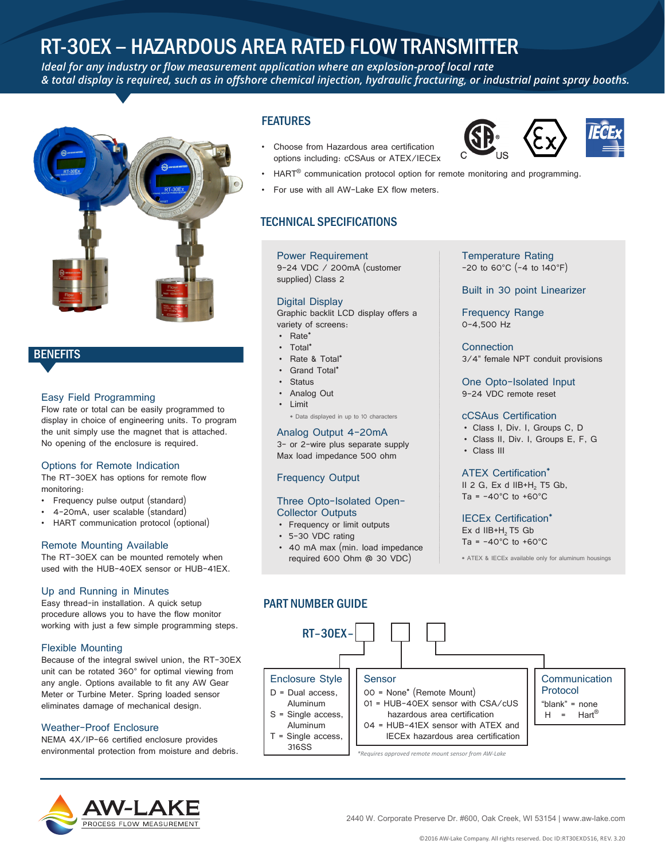# RT-30EX – HAZARDOUS AREA RATED FLOW TRANSMITTER

*Ideal for any industry or flow measurement application where an explosion-proof local rate & total display is required, such as in offshore chemical injection, hydraulic fracturing, or industrial paint spray booths.*



# **BENEFITS**

#### Easy Field Programming

Flow rate or total can be easily programmed to display in choice of engineering units. To program the unit simply use the magnet that is attached. No opening of the enclosure is required.

#### Options for Remote Indication

The RT-30EX has options for remote flow monitoring:

- Frequency pulse output (standard)
- 4-20mA, user scalable (standard)
- HART communication protocol (optional)

#### Remote Mounting Available

The RT-30EX can be mounted remotely when used with the HUB-40EX sensor or HUB-41EX.

#### Up and Running in Minutes

Easy thread-in installation. A quick setup procedure allows you to have the flow monitor working with just a few simple programming steps.

#### Flexible Mounting

Because of the integral swivel union, the RT-30EX unit can be rotated 360° for optimal viewing from any angle. Options available to fit any AW Gear Meter or Turbine Meter. Spring loaded sensor eliminates damage of mechanical design.

#### Weather-Proof Enclosure

NEMA 4X/IP-66 certified enclosure provides environmental protection from moisture and debris.

# PROCESS FLOW MEASUREME

## **FEATURES**

- Choose from Hazardous area certification options including: cCSAus or ATEX/IECEx
- 



- HART<sup>®</sup> communication protocol option for remote monitoring and programming.
- For use with all AW-Lake EX flow meters.

## TECHNICAL SPECIFICATIONS

#### Power Requirement

9-24 VDC / 200mA (customer supplied) Class 2

#### Digital Display

Graphic backlit LCD display offers a variety of screens:

- Rate\*
- Total\*
- Rate & Total\* Grand Total<sup>\*</sup>
- **Status**
- Analog Out
- Limit
- \* Data displayed in up to 10 characters

#### Analog Output 4-20mA

3- or 2-wire plus separate supply Max load impedance 500 ohm

#### Frequency Output

#### Three Opto-Isolated Open-Collector Outputs

- Frequency or limit outputs
- 5-30 VDC rating
- 40 mA max (min. load impedance required 600 Ohm @ 30 VDC)

#### Temperature Rating -20 to 60°C (-4 to 140°F)

Built in 30 point Linearizer

Frequency Range 0-4,500 Hz

**Connection** 3/4" female NPT conduit provisions

One Opto-Isolated Input 9-24 VDC remote reset

#### cCSAus Certification

- Class I, Div. I, Groups C, D
- Class II, Div. I, Groups E, F, G
- Class III

#### ATEX Certification\*

II 2 G,  $Ex$  d IIB+H<sub>2</sub> T5 Gb, Ta =  $-40^{\circ}$ C to  $+60^{\circ}$ C

IECEx Certification\*

Ex  $d$  IIB+H<sub>2</sub> T5 Gb Ta =  $-40^{\circ}$ C to  $+60^{\circ}$ C

\* ATEX & IECEx available only for aluminum housings